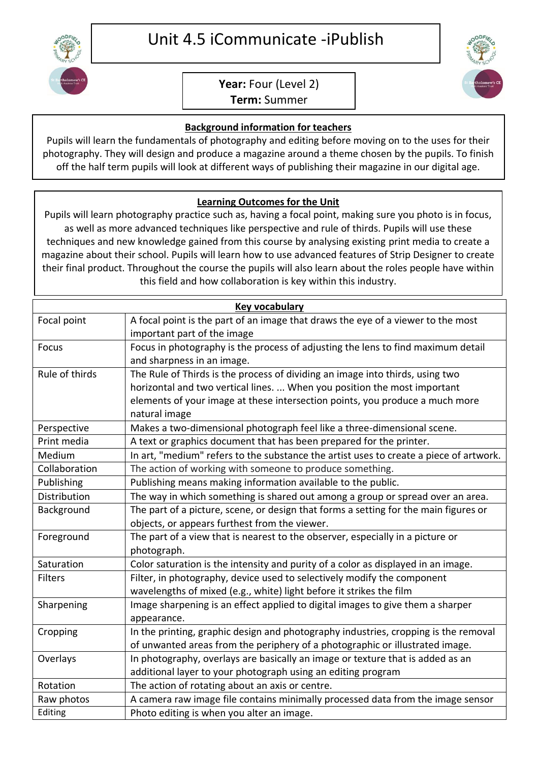

## **Year:** Four (Level 2)

**Term:** Summer

## **Background information for teachers**

Pupils will learn the fundamentals of photography and editing before moving on to the uses for their photography. They will design and produce a magazine around a theme chosen by the pupils. To finish off the half term pupils will look at different ways of publishing their magazine in our digital age.

## **Learning Outcomes for the Unit**

Pupils will learn photography practice such as, having a focal point, making sure you photo is in focus, as well as more advanced techniques like perspective and rule of thirds. Pupils will use these techniques and new knowledge gained from this course by analysing existing print media to create a magazine about their school. Pupils will learn how to use advanced features of Strip Designer to create their final product. Throughout the course the pupils will also learn about the roles people have within this field and how collaboration is key within this industry.

|                | <b>Key vocabulary</b>                                                                  |
|----------------|----------------------------------------------------------------------------------------|
| Focal point    | A focal point is the part of an image that draws the eye of a viewer to the most       |
|                | important part of the image                                                            |
| Focus          | Focus in photography is the process of adjusting the lens to find maximum detail       |
|                | and sharpness in an image.                                                             |
| Rule of thirds | The Rule of Thirds is the process of dividing an image into thirds, using two          |
|                | horizontal and two vertical lines.  When you position the most important               |
|                | elements of your image at these intersection points, you produce a much more           |
|                | natural image                                                                          |
| Perspective    | Makes a two-dimensional photograph feel like a three-dimensional scene.                |
| Print media    | A text or graphics document that has been prepared for the printer.                    |
| Medium         | In art, "medium" refers to the substance the artist uses to create a piece of artwork. |
| Collaboration  | The action of working with someone to produce something.                               |
| Publishing     | Publishing means making information available to the public.                           |
| Distribution   | The way in which something is shared out among a group or spread over an area.         |
| Background     | The part of a picture, scene, or design that forms a setting for the main figures or   |
|                | objects, or appears furthest from the viewer.                                          |
| Foreground     | The part of a view that is nearest to the observer, especially in a picture or         |
|                | photograph.                                                                            |
| Saturation     | Color saturation is the intensity and purity of a color as displayed in an image.      |
| <b>Filters</b> | Filter, in photography, device used to selectively modify the component                |
|                | wavelengths of mixed (e.g., white) light before it strikes the film                    |
| Sharpening     | Image sharpening is an effect applied to digital images to give them a sharper         |
|                | appearance.                                                                            |
| Cropping       | In the printing, graphic design and photography industries, cropping is the removal    |
|                | of unwanted areas from the periphery of a photographic or illustrated image.           |
| Overlays       | In photography, overlays are basically an image or texture that is added as an         |
|                | additional layer to your photograph using an editing program                           |
| Rotation       | The action of rotating about an axis or centre.                                        |
| Raw photos     | A camera raw image file contains minimally processed data from the image sensor        |
| Editing        | Photo editing is when you alter an image.                                              |